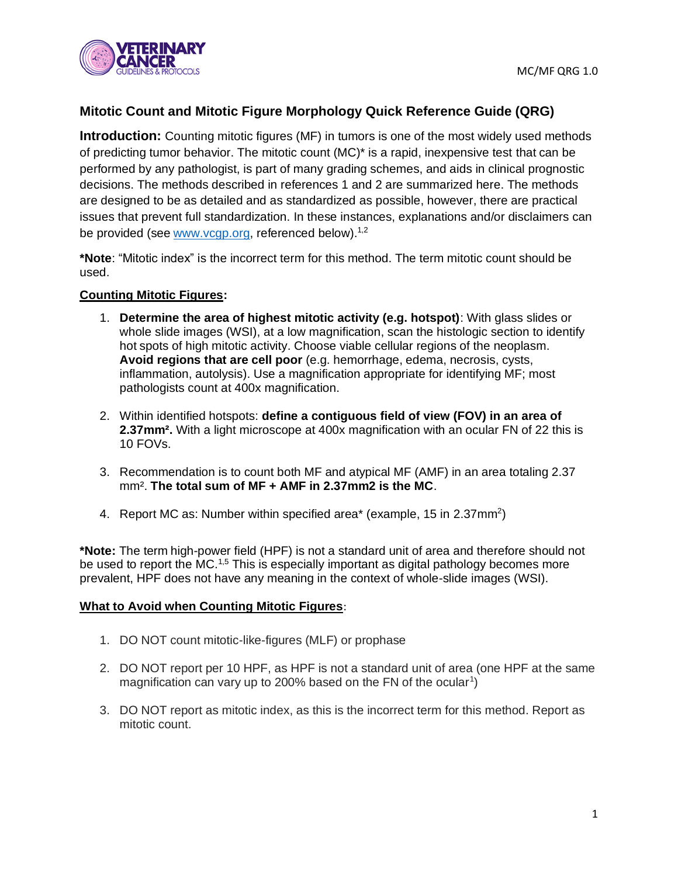

# **Mitotic Count and Mitotic Figure Morphology Quick Reference Guide (QRG)**

**Introduction:** Counting mitotic figures (MF) in tumors is one of the most widely used methods of predicting tumor behavior. The mitotic count (MC)\* is a rapid, inexpensive test that can be performed by any pathologist, is part of many grading schemes, and aids in clinical prognostic decisions. The methods described in references 1 and 2 are summarized here. The methods are designed to be as detailed and as standardized as possible, however, there are practical issues that prevent full standardization. In these instances, explanations and/or disclaimers can be provided (see www.ycgp.org, referenced below).<sup>1,2</sup>

**\*Note**: "Mitotic index" is the incorrect term for this method. The term mitotic count should be used.

#### **Counting Mitotic Figures:**

- 1. **Determine the area of highest mitotic activity (e.g. hotspot)**: With glass slides or whole slide images (WSI), at a low magnification, scan the histologic section to identify hot spots of high mitotic activity. Choose viable cellular regions of the neoplasm. **Avoid regions that are cell poor** (e.g. hemorrhage, edema, necrosis, cysts, inflammation, autolysis). Use a magnification appropriate for identifying MF; most pathologists count at 400x magnification.
- 2. Within identified hotspots: **define a contiguous field of view (FOV) in an area of 2.37mm².** With a light microscope at 400x magnification with an ocular FN of 22 this is 10 FOVs.
- 3. Recommendation is to count both MF and atypical MF (AMF) in an area totaling 2.37 mm². **The total sum of MF + AMF in 2.37mm2 is the MC**.
- 4. Report MC as: Number within specified area\* (example, 15 in 2.37mm<sup>2</sup>)

**\*Note:** The term high-power field (HPF) is not a standard unit of area and therefore should not be used to report the MC.<sup>1,5</sup> This is especially important as digital pathology becomes more prevalent, HPF does not have any meaning in the context of whole-slide images (WSI).

#### **What to Avoid when Counting Mitotic Figures**:

- 1. DO NOT count mitotic-like-figures (MLF) or prophase
- 2. DO NOT report per 10 HPF, as HPF is not a standard unit of area (one HPF at the same magnification can vary up to 200% based on the FN of the ocular<sup>1</sup>)
- 3. DO NOT report as mitotic index, as this is the incorrect term for this method. Report as mitotic count.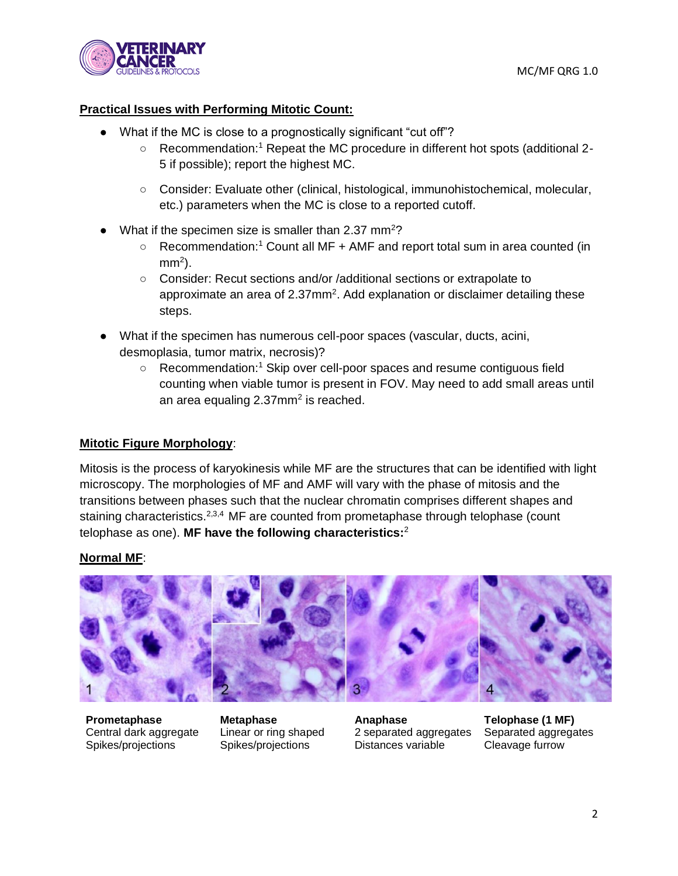

## **Practical Issues with Performing Mitotic Count:**

- What if the MC is close to a prognostically significant "cut off"?
	- $\circ$  Recommendation:<sup>1</sup> Repeat the MC procedure in different hot spots (additional 2-5 if possible); report the highest MC.
	- Consider: Evaluate other (clinical, histological, immunohistochemical, molecular, etc.) parameters when the MC is close to a reported cutoff.
- What if the specimen size is smaller than 2.37 mm<sup>2</sup>?
	- Recommendation:<sup>1</sup> Count all MF + AMF and report total sum in area counted (in mm<sup>2</sup>).
	- Consider: Recut sections and/or /additional sections or extrapolate to approximate an area of  $2.37$ mm<sup>2</sup>. Add explanation or disclaimer detailing these steps.
- What if the specimen has numerous cell-poor spaces (vascular, ducts, acini, desmoplasia, tumor matrix, necrosis)?
	- $\circ$  Recommendation:<sup>1</sup> Skip over cell-poor spaces and resume contiguous field counting when viable tumor is present in FOV. May need to add small areas until an area equaling 2.37mm<sup>2</sup> is reached.

### **Mitotic Figure Morphology**:

Mitosis is the process of karyokinesis while MF are the structures that can be identified with light microscopy. The morphologies of MF and AMF will vary with the phase of mitosis and the transitions between phases such that the nuclear chromatin comprises different shapes and staining characteristics.<sup>2,3,4</sup> MF are counted from prometaphase through telophase (count telophase as one). **MF have the following characteristics:**<sup>2</sup>

### **Normal MF**:



Central dark aggregate Spikes/projections

Linear or ring shaped Spikes/projections

**Prometaphase Metaphase Anaphase Telophase (1 MF)** 2 separated aggregates Distances variable

Separated aggregates Cleavage furrow